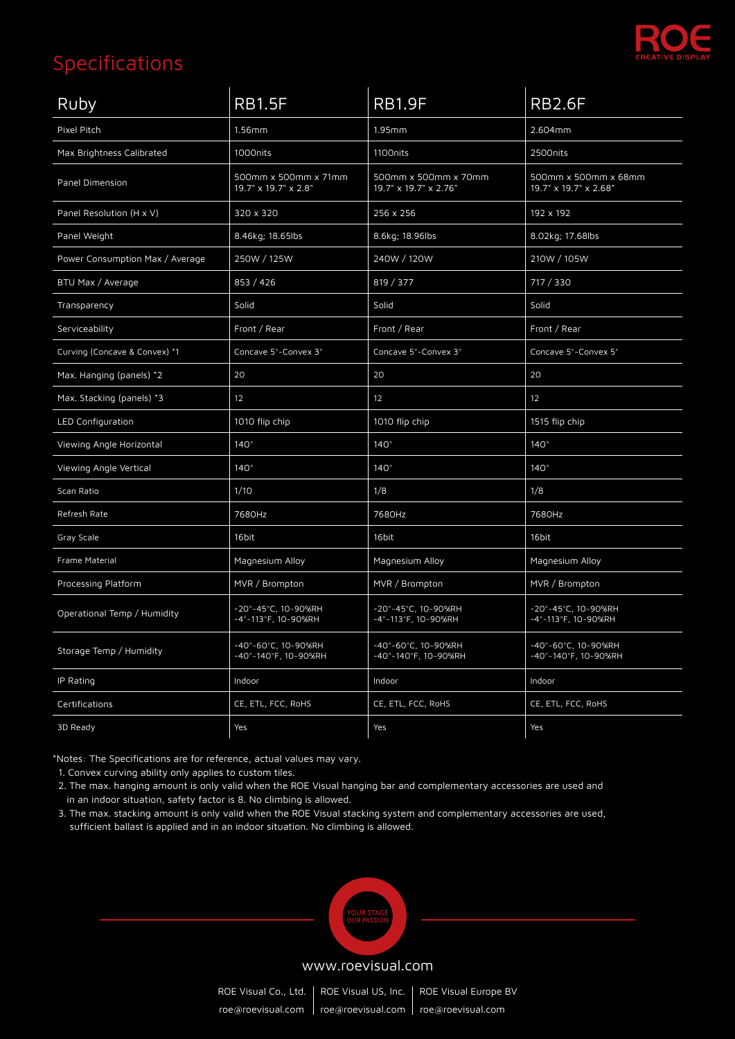

| Ruby                            | <b>RB1.5F</b>                                | <b>RB1.9F</b>                                 | <b>RB2.6F</b>                                 |
|---------------------------------|----------------------------------------------|-----------------------------------------------|-----------------------------------------------|
| Pixel Pitch                     | $1.56$ mm                                    | 1.95mm                                        | 2.604mm                                       |
| Max Brightness Calibrated       | 1000nits                                     | 1100nits                                      | 2500nits                                      |
| Panel Dimension                 | 500mm x 500mm x 71mm<br>19.7" x 19.7" x 2.8" | 500mm x 500mm x 70mm<br>19.7" x 19.7" x 2.76" | 500mm x 500mm x 68mm<br>19.7" x 19.7" x 2.68" |
| Panel Resolution (H x V)        | 320 x 320                                    | 256 x 256                                     | 192 x 192                                     |
| Panel Weight                    | 8.46kg; 18.65lbs                             | 8.6kg; 18.96lbs                               | 8.02kg; 17.68lbs                              |
| Power Consumption Max / Average | 250W / 125W                                  | 240W / 120W                                   | 210W / 105W                                   |
| BTU Max / Average               | 853 / 426                                    | 819 / 377                                     | 717 / 330                                     |
| Transparency                    | Solid                                        | Solid                                         | Solid                                         |
| Serviceability                  | Front / Rear                                 | Front / Rear                                  | Front / Rear                                  |
| Curving (Concave & Convex) *1   | Concave 5°~Convex 3°                         | Concave 5°~Convex 3°                          | Concave 5°~Convex 5°                          |
| Max. Hanging (panels) *2        | 20                                           | 20                                            | 20                                            |
| Max. Stacking (panels) *3       | 12                                           | 12                                            | 12                                            |
| LED Configuration               | 1010 flip chip                               | 1010 flip chip                                | 1515 flip chip                                |
| Viewing Angle Horizontal        | $140^\circ$                                  | $140^\circ$                                   | $140^\circ$                                   |
| Viewing Angle Vertical          | $140^\circ$                                  | $140^\circ$                                   | $140^\circ$                                   |
| Scan Ratio                      | 1/10                                         | 1/8                                           | 1/8                                           |
| Refresh Rate                    | 7680Hz                                       | 7680Hz                                        | 7680Hz                                        |
| Gray Scale                      | 16bit                                        | 16bit                                         | 16bit                                         |
| Frame Material                  | Magnesium Alloy                              | Magnesium Alloy                               | Magnesium Alloy                               |
| Processing Platform             | MVR / Brompton                               | MVR / Brompton                                | MVR / Brompton                                |
| Operational Temp / Humidity     | -20°~45°C, 10~90%RH<br>-4°~113°F, 10~90%RH   | -20°-45°C, 10~90%RH<br>-4°~113°F, 10~90%RH    | -20°~45°C, 10~90%RH<br>-4°~113°F, 10~90%RH    |
| Storage Temp / Humidity         | -40°~60°C, 10~90%RH<br>-40°-140°F, 10~90%RH  | -40°~60°C, 10~90%RH<br>-40°-140°F, 10~90%RH   | -40°~60°C, 10~90%RH<br>-40°~140°F, 10~90%RH   |
| IP Rating                       | Indoor                                       | Indoor                                        | Indoor                                        |
| Certifications                  | CE, ETL, FCC, RoHS                           | CE, ETL, FCC, RoHS                            | CE, ETL, FCC, RoHS                            |
| 3D Ready                        | Yes                                          | Yes                                           | Yes                                           |

\*Notes: The Specifications are for reference, actual values may vary.

1. Convex curving ability only applies to custom tiles.

 2. The max. hanging amount is only valid when the ROE Visual hanging bar and complementary accessories are used and in an indoor situation, safety factor is 8. No climbing is allowed.

 3. The max. stacking amount is only valid when the ROE Visual stacking system and complementary accessories are used, sufficient ballast is applied and in an indoor situation. No climbing is allowed.



#### www.roevisual.com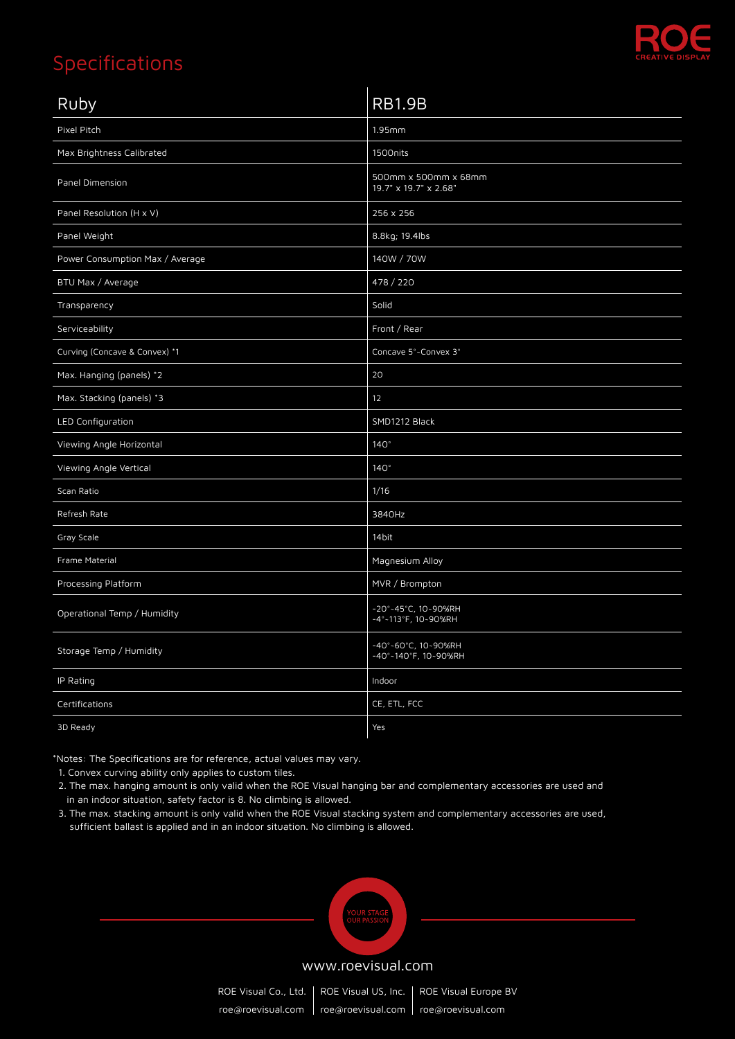

| Ruby                            | <b>RB1.9B</b>                                 |
|---------------------------------|-----------------------------------------------|
| Pixel Pitch                     | 1.95mm                                        |
| Max Brightness Calibrated       | 1500nits                                      |
| Panel Dimension                 | 500mm x 500mm x 68mm<br>19.7" x 19.7" x 2.68" |
| Panel Resolution (H x V)        | 256 x 256                                     |
| Panel Weight                    | 8.8kg; 19.4lbs                                |
| Power Consumption Max / Average | 140W / 70W                                    |
| BTU Max / Average               | 478 / 220                                     |
| Transparency                    | Solid                                         |
| Serviceability                  | Front / Rear                                  |
| Curving (Concave & Convex) *1   | Concave 5°~Convex 3°                          |
| Max. Hanging (panels) *2        | 20                                            |
| Max. Stacking (panels) *3       | 12                                            |
| LED Configuration               | SMD1212 Black                                 |
| Viewing Angle Horizontal        | $140^\circ$                                   |
| Viewing Angle Vertical          | 140°                                          |
| Scan Ratio                      | 1/16                                          |
| Refresh Rate                    | 3840Hz                                        |
| Gray Scale                      | 14bit                                         |
| Frame Material                  | Magnesium Alloy                               |
| Processing Platform             | MVR / Brompton                                |
| Operational Temp / Humidity     | -20°~45°C, 10~90%RH<br>-4°-113°F, 10-90%RH    |
| Storage Temp / Humidity         | -40°~60°C, 10~90%RH<br>-40°-140°F, 10~90%RH   |
| IP Rating                       | Indoor                                        |
| Certifications                  | CE, ETL, FCC                                  |
| 3D Ready                        | Yes                                           |

\*Notes: The Specifications are for reference, actual values may vary.

1. Convex curving ability only applies to custom tiles.

 2. The max. hanging amount is only valid when the ROE Visual hanging bar and complementary accessories are used and in an indoor situation, safety factor is 8. No climbing is allowed.

 3. The max. stacking amount is only valid when the ROE Visual stacking system and complementary accessories are used, sufficient ballast is applied and in an indoor situation. No climbing is allowed.



#### www.roevisual.com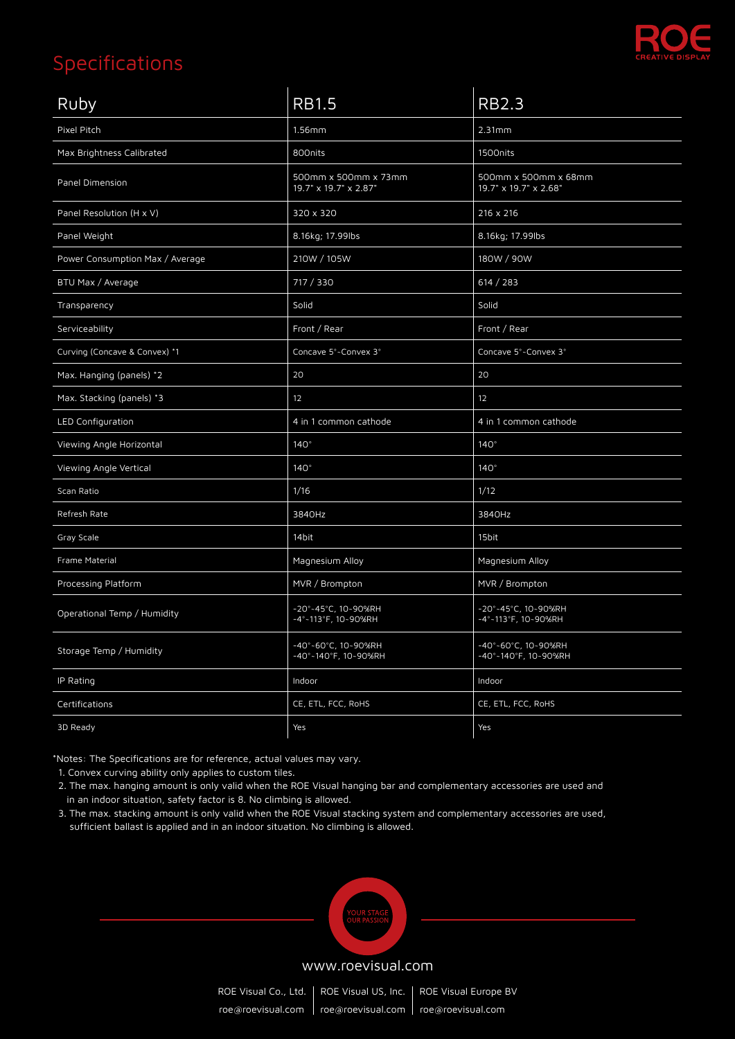

| Ruby                            | <b>RB1.5</b>                                  | <b>RB2.3</b>                                  |
|---------------------------------|-----------------------------------------------|-----------------------------------------------|
| Pixel Pitch                     | 1.56mm                                        | 2.31mm                                        |
| Max Brightness Calibrated       | 800nits                                       | 1500nits                                      |
| Panel Dimension                 | 500mm x 500mm x 73mm<br>19.7" x 19.7" x 2.87" | 500mm x 500mm x 68mm<br>19.7" x 19.7" x 2.68" |
| Panel Resolution (H x V)        | 320 x 320                                     | 216 x 216                                     |
| Panel Weight                    | 8.16kg; 17.99lbs                              | 8.16kg; 17.99lbs                              |
| Power Consumption Max / Average | 210W / 105W                                   | 180W / 90W                                    |
| BTU Max / Average               | 717 / 330                                     | 614 / 283                                     |
| Transparency                    | Solid                                         | Solid                                         |
| Serviceability                  | Front / Rear                                  | Front / Rear                                  |
| Curving (Concave & Convex) *1   | Concave 5°~Convex 3°                          | Concave 5°~Convex 3°                          |
| Max. Hanging (panels) *2        | 20                                            | 20                                            |
| Max. Stacking (panels) *3       | 12                                            | 12                                            |
| LED Configuration               | 4 in 1 common cathode                         | 4 in 1 common cathode                         |
| Viewing Angle Horizontal        | $140^\circ$                                   | 140°                                          |
| Viewing Angle Vertical          | $140^\circ$                                   | $140^\circ$                                   |
| Scan Ratio                      | 1/16                                          | 1/12                                          |
| Refresh Rate                    | 3840Hz                                        | 3840Hz                                        |
| Gray Scale                      | 14bit                                         | 15bit                                         |
| Frame Material                  | Magnesium Alloy                               | Magnesium Alloy                               |
| Processing Platform             | MVR / Brompton                                | MVR / Brompton                                |
| Operational Temp / Humidity     | -20°~45°C, 10~90%RH<br>-4°~113°F, 10~90%RH    | -20°~45°C, 10~90%RH<br>-4°~113°F, 10~90%RH    |
| Storage Temp / Humidity         | -40°~60°C, 10~90%RH<br>-40°-140°F, 10~90%RH   | -40°~60°C, 10~90%RH<br>-40°-140°F, 10~90%RH   |
| IP Rating                       | Indoor                                        | Indoor                                        |
| Certifications                  | CE, ETL, FCC, RoHS                            | CE, ETL, FCC, RoHS                            |
| 3D Ready                        | Yes                                           | Yes                                           |

\*Notes: The Specifications are for reference, actual values may vary.

1. Convex curving ability only applies to custom tiles.

 2. The max. hanging amount is only valid when the ROE Visual hanging bar and complementary accessories are used and in an indoor situation, safety factor is 8. No climbing is allowed.

 3. The max. stacking amount is only valid when the ROE Visual stacking system and complementary accessories are used, sufficient ballast is applied and in an indoor situation. No climbing is allowed.



#### www.roevisual.com